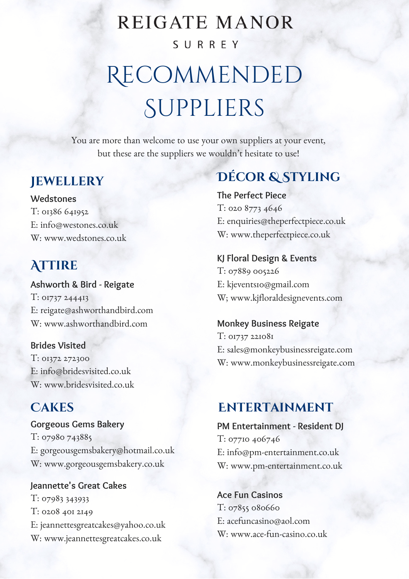# **REIGATE MANOR** SURREY

# Recommended **SUPPLIERS**

You are more than welcome to use your own suppliers at your event, but these are the suppliers we wouldn't hesitate to use!

#### **Jewellery**

**Wedstones** T: 01386 641952 E: info@westones.co.uk W: [www.wedstones.co.uk](http://www.madebylucia.co.uk/)

## **Attire**

**Ashworth & Bird - Reigate** T: 01737 244413 E: [reigate@ashworthandbird.com](http://www.ashworthandbird.com/) W: www.ashworthandbird.com

**Brides Visited** T: 01372 272300 E: [info@bridesvisited.co.uk](http://www.bridesvisited.co.uk/) W: www.bridesvisited.co.uk

### **Cakes**

**Gorgeous Gems Bakery** T: 07980 743885 E: [gorgeousgemsbakery@hotmail.co.uk](http://www.gorgeousgemsbakery.co.uk/) W: www.gorgeousgemsbakery.co.uk

**Jeannette's Great Cakes** T: 07983 343933 T: 0208 401 2149 E: [jeannettesgreatcakes@yahoo.co.uk](http://www.jeannettesgreatcakes.co.uk/) W: www.jeannettesgreatcakes.co.uk

# **Décor & Styling**

**The Perfect Piece** T: 020 8773 4646 E: [enquiries@theperfectpiece.co.uk](http://www.perfectpiece.co.uk/) W: www.theperfectpiece.co.uk

**KJ Floral Design & Events** T: 07889 005226 E: [kj](mailto:office@hedgeroseandhoneysuckle.co.uk)events10@gmail.com W; [www.kjfloraldesignevents.com](http://www.perfectpiece.co.uk/)

**Monkey Business Reigate** T: 01737 221081 E: [sales@monkeybusinessreigate.com](http://www.perfectpiece.co.uk/) W: www.monkeybusinessreigate.com

#### **ENTERTAINMENT**

**PM Entertainment - Resident DJ** T: 07710 406746 E: [info@pm-entertainment.co.uk](http://www.pm-entertainment.co.uk/) W: www.pm-entertainment.co.uk

**Ace Fun Casinos** T: 07855 080660 E: acefuncasino@aol.com W: [www.ace-fun-casino.co.uk](http://ace-fun-casino.co.uk/)